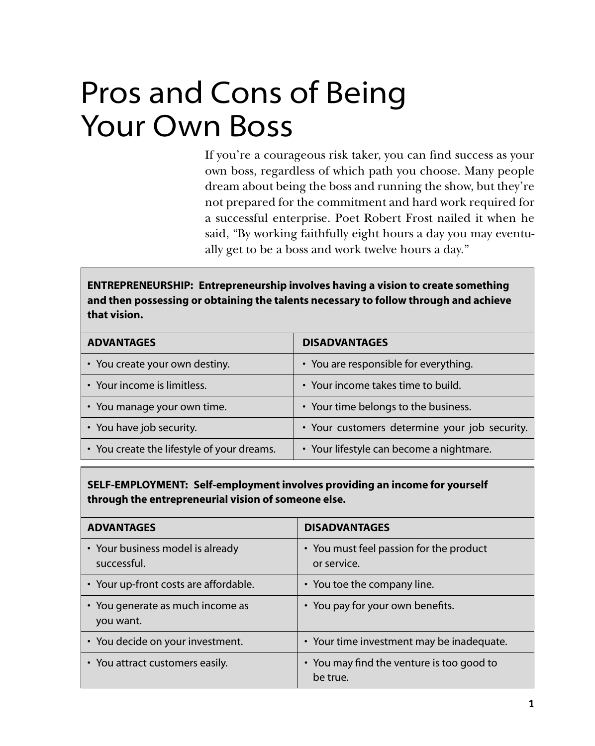## Pros and Cons of Being Your Own Boss

If you're a courageous risk taker, you can find success as your own boss, regardless of which path you choose. Many people dream about being the boss and running the show, but they're not prepared for the commitment and hard work required for a successful enterprise. Poet Robert Frost nailed it when he said, "By working faithfully eight hours a day you may eventually get to be a boss and work twelve hours a day."

**ENTREPRENEURSHIP: Entrepreneurship involves having a vision to create something and then possessing or obtaining the talents necessary to follow through and achieve that vision.**

| <b>ADVANTAGES</b>                          | <b>DISADVANTAGES</b>                          |
|--------------------------------------------|-----------------------------------------------|
| • You create your own destiny.             | • You are responsible for everything.         |
| • Your income is limitless.                | • Your income takes time to build.            |
| • You manage your own time.                | • Your time belongs to the business.          |
| • You have job security.                   | • Your customers determine your job security. |
| • You create the lifestyle of your dreams. | • Your lifestyle can become a nightmare.      |

**SELF-EMPLOYMENT: Self-employment involves providing an income for yourself through the entrepreneurial vision of someone else.**

| <b>ADVANTAGES</b>                               | <b>DISADVANTAGES</b>                                   |
|-------------------------------------------------|--------------------------------------------------------|
| • Your business model is already<br>successful. | • You must feel passion for the product<br>or service. |
| • Your up-front costs are affordable.           | • You toe the company line.                            |
| • You generate as much income as<br>you want.   | • You pay for your own benefits.                       |
| • You decide on your investment.                | • Your time investment may be inadequate.              |
| • You attract customers easily.                 | • You may find the venture is too good to<br>be true.  |